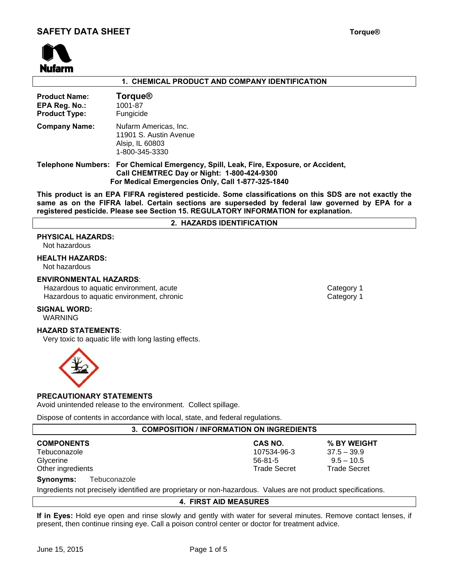

## **1. CHEMICAL PRODUCT AND COMPANY IDENTIFICATION**

| <b>Product Name:</b><br>EPA Reg. No.:<br><b>Product Type:</b> | <b>Torque®</b><br>1001-87<br>Fungicide                                                                                                                                                  |
|---------------------------------------------------------------|-----------------------------------------------------------------------------------------------------------------------------------------------------------------------------------------|
| <b>Company Name:</b>                                          | Nufarm Americas, Inc.<br>11901 S. Austin Avenue<br>Alsip, IL 60803<br>1-800-345-3330                                                                                                    |
|                                                               | Telephone Numbers: For Chemical Emergency, Spill, Leak, Fire, Exposure, or Accident,<br>Call CHEMTREC Day or Night: 1-800-424-9300<br>For Medical Emergencies Only, Call 1-877-325-1840 |

**This product is an EPA FIFRA registered pesticide. Some classifications on this SDS are not exactly the same as on the FIFRA label. Certain sections are superseded by federal law governed by EPA for a registered pesticide. Please see Section 15. REGULATORY INFORMATION for explanation.** 

## **2. HAZARDS IDENTIFICATION**

## **PHYSICAL HAZARDS:**

Not hazardous

# **HEALTH HAZARDS:**

Not hazardous

## **ENVIRONMENTAL HAZARDS**:

Hazardous to aquatic environment, acute **Category 1** and Category 1 Hazardous to aquatic environment, chronic Category 1 and Category 1

#### **SIGNAL WORD:**

WARNING

# **HAZARD STATEMENTS**:

Very toxic to aquatic life with long lasting effects.



#### **PRECAUTIONARY STATEMENTS**

Avoid unintended release to the environment.Collect spillage.

Dispose of contents in accordance with local, state, and federal regulations.

## **3. COMPOSITION / INFORMATION ON INGREDIENTS**

| <b>COMPONENTS</b>                          | CAS NO.             | % BY WEIGHT         |
|--------------------------------------------|---------------------|---------------------|
| Tebuconazole                               | 107534-96-3         | $37.5 - 39.9$       |
| Glycerine                                  | $56-81-5$           | $9.5 - 10.5$        |
| Other ingredients                          | <b>Trade Secret</b> | <b>Trade Secret</b> |
| $\sum_{i=1}^{n}$<br>الملمست متمسد والملتان |                     |                     |

#### **Synonyms:** Tebuconazole

Ingredients not precisely identified are proprietary or non-hazardous. Values are not product specifications.

## **4. FIRST AID MEASURES**

**If in Eyes:** Hold eye open and rinse slowly and gently with water for several minutes. Remove contact lenses, if present, then continue rinsing eye. Call a poison control center or doctor for treatment advice.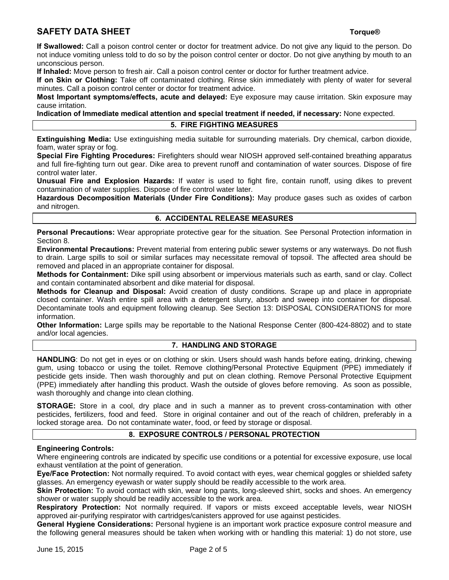# **SAFETY DATA SHEET** The state of the state of the state of the state of the state of the state of the state of the state of the state of the state of the state of the state of the state of the state of the state of the sta

**If Swallowed:** Call a poison control center or doctor for treatment advice. Do not give any liquid to the person. Do not induce vomiting unless told to do so by the poison control center or doctor. Do not give anything by mouth to an unconscious person.

**If Inhaled:** Move person to fresh air. Call a poison control center or doctor for further treatment advice.

**If on Skin or Clothing:** Take off contaminated clothing. Rinse skin immediately with plenty of water for several minutes. Call a poison control center or doctor for treatment advice.

**Most Important symptoms/effects, acute and delayed:** Eye exposure may cause irritation. Skin exposure may cause irritation.

**Indication of Immediate medical attention and special treatment if needed, if necessary:** None expected. **5. FIRE FIGHTING MEASURES** 

**Extinguishing Media:** Use extinguishing media suitable for surrounding materials. Dry chemical, carbon dioxide, foam, water spray or fog.

**Special Fire Fighting Procedures:** Firefighters should wear NIOSH approved self-contained breathing apparatus and full fire-fighting turn out gear. Dike area to prevent runoff and contamination of water sources. Dispose of fire control water later.

**Unusual Fire and Explosion Hazards:** If water is used to fight fire, contain runoff, using dikes to prevent contamination of water supplies. Dispose of fire control water later.

**Hazardous Decomposition Materials (Under Fire Conditions):** May produce gases such as oxides of carbon and nitrogen.

# **6. ACCIDENTAL RELEASE MEASURES**

**Personal Precautions:** Wear appropriate protective gear for the situation. See Personal Protection information in Section 8.

**Environmental Precautions:** Prevent material from entering public sewer systems or any waterways. Do not flush to drain. Large spills to soil or similar surfaces may necessitate removal of topsoil. The affected area should be removed and placed in an appropriate container for disposal.

**Methods for Containment:** Dike spill using absorbent or impervious materials such as earth, sand or clay. Collect and contain contaminated absorbent and dike material for disposal.

**Methods for Cleanup and Disposal:** Avoid creation of dusty conditions. Scrape up and place in appropriate closed container. Wash entire spill area with a detergent slurry, absorb and sweep into container for disposal. Decontaminate tools and equipment following cleanup. See Section 13: DISPOSAL CONSIDERATIONS for more information.

**Other Information:** Large spills may be reportable to the National Response Center (800-424-8802) and to state and/or local agencies.

## **7. HANDLING AND STORAGE**

**HANDLING**: Do not get in eyes or on clothing or skin. Users should wash hands before eating, drinking, chewing gum, using tobacco or using the toilet. Remove clothing/Personal Protective Equipment (PPE) immediately if pesticide gets inside. Then wash thoroughly and put on clean clothing. Remove Personal Protective Equipment (PPE) immediately after handling this product. Wash the outside of gloves before removing. As soon as possible, wash thoroughly and change into clean clothing.

**STORAGE:** Store in a cool, dry place and in such a manner as to prevent cross-contamination with other pesticides, fertilizers, food and feed. Store in original container and out of the reach of children, preferably in a locked storage area. Do not contaminate water, food, or feed by storage or disposal.

## **8. EXPOSURE CONTROLS / PERSONAL PROTECTION**

## **Engineering Controls:**

Where engineering controls are indicated by specific use conditions or a potential for excessive exposure, use local exhaust ventilation at the point of generation.

**Eye/Face Protection:** Not normally required. To avoid contact with eyes, wear chemical goggles or shielded safety glasses. An emergency eyewash or water supply should be readily accessible to the work area.

**Skin Protection:** To avoid contact with skin, wear long pants, long-sleeved shirt, socks and shoes. An emergency shower or water supply should be readily accessible to the work area.

**Respiratory Protection:** Not normally required. If vapors or mists exceed acceptable levels, wear NIOSH approved air-purifying respirator with cartridges/canisters approved for use against pesticides.

**General Hygiene Considerations:** Personal hygiene is an important work practice exposure control measure and the following general measures should be taken when working with or handling this material: 1) do not store, use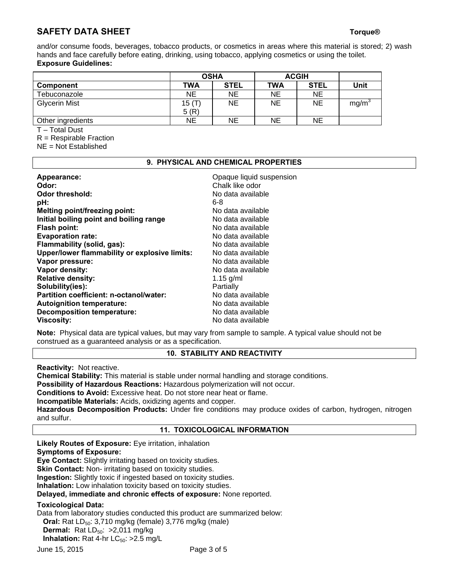# **SAFETY DATA SHEET** The state of the state of the state of the state of the state of the state of the state of the state of the state of the state of the state of the state of the state of the state of the state of the sta

and/or consume foods, beverages, tobacco products, or cosmetics in areas where this material is stored; 2) wash hands and face carefully before eating, drinking, using tobacco, applying cosmetics or using the toilet. **Exposure Guidelines:** 

|                      | <b>OSHA</b> |             | <b>ACGIH</b> |             |                   |
|----------------------|-------------|-------------|--------------|-------------|-------------------|
| <b>Component</b>     | TWA         | <b>STEL</b> | <b>TWA</b>   | <b>STEL</b> | Unit              |
| Tebuconazole         | <b>NE</b>   | <b>NE</b>   | <b>NE</b>    | NE          |                   |
| <b>Glycerin Mist</b> | 15(T)       | <b>NE</b>   | NE           | NE          | mg/m <sup>3</sup> |
|                      | 5(R)        |             |              |             |                   |
| Other ingredients    | <b>NE</b>   | <b>NE</b>   | <b>NE</b>    | NE          |                   |

T – Total Dust

R = Respirable Fraction

NE = Not Established

## **9. PHYSICAL AND CHEMICAL PROPERTIES**

| Appearance:                                   | Opaque liquid suspension |
|-----------------------------------------------|--------------------------|
| Odor:                                         | Chalk like odor          |
| Odor threshold:                               | No data available        |
| pH:                                           | 6-8                      |
| <b>Melting point/freezing point:</b>          | No data available        |
| Initial boiling point and boiling range       | No data available        |
| Flash point:                                  | No data available        |
| <b>Evaporation rate:</b>                      | No data available        |
| Flammability (solid, gas):                    | No data available        |
| Upper/lower flammability or explosive limits: | No data available        |
| Vapor pressure:                               | No data available        |
| Vapor density:                                | No data available        |
| <b>Relative density:</b>                      | 1.15 $g/ml$              |
| Solubility(ies):                              | Partially                |
| Partition coefficient: n-octanol/water:       | No data available        |
| <b>Autoignition temperature:</b>              | No data available        |
| <b>Decomposition temperature:</b>             | No data available        |
| <b>Viscosity:</b>                             | No data available        |

**Note:** Physical data are typical values, but may vary from sample to sample. A typical value should not be construed as a guaranteed analysis or as a specification.

## **10. STABILITY AND REACTIVITY**

**Reactivity:** Not reactive.

**Chemical Stability:** This material is stable under normal handling and storage conditions.

**Possibility of Hazardous Reactions:** Hazardous polymerization will not occur.

**Conditions to Avoid:** Excessive heat. Do not store near heat or flame.

**Incompatible Materials:** Acids, oxidizing agents and copper.

**Hazardous Decomposition Products:** Under fire conditions may produce oxides of carbon, hydrogen, nitrogen and sulfur.

## **11. TOXICOLOGICAL INFORMATION**

**Likely Routes of Exposure:** Eye irritation, inhalation

## **Symptoms of Exposure:**

**Eye Contact:** Slightly irritating based on toxicity studies.

**Skin Contact:** Non- irritating based on toxicity studies.

**Ingestion:** Slightly toxic if ingested based on toxicity studies.

**Inhalation:** Low inhalation toxicity based on toxicity studies.

**Delayed, immediate and chronic effects of exposure:** None reported.

## **Toxicological Data:**

Data from laboratory studies conducted this product are summarized below:

**Oral:** Rat LD<sub>50</sub>: 3,710 mg/kg (female) 3,776 mg/kg (male)

**Dermal:** Rat LD<sub>50</sub>: > 2,011 mg/kg

**Inhalation:** Rat 4-hr LC<sub>50</sub>: >2.5 mg/L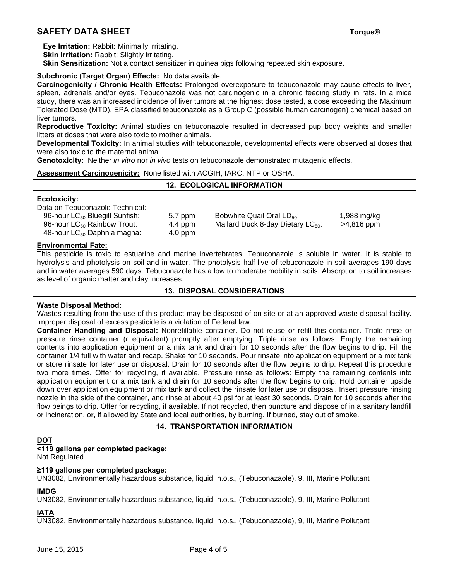# **SAFETY DATA SHEET** The state of the state of the state of the state of the state of the state of the state of the state of the state of the state of the state of the state of the state of the state of the state of the sta

 **Eye Irritation:** Rabbit: Minimally irritating.

**Skin Irritation: Rabbit: Slightly irritating.** 

**Skin Sensitization:** Not a contact sensitizer in guinea pigs following repeated skin exposure.

# **Subchronic (Target Organ) Effects:** No data available.

**Carcinogenicity / Chronic Health Effects:** Prolonged overexposure to tebuconazole may cause effects to liver, spleen, adrenals and/or eyes. Tebuconazole was not carcinogenic in a chronic feeding study in rats. In a mice study, there was an increased incidence of liver tumors at the highest dose tested, a dose exceeding the Maximum Tolerated Dose (MTD). EPA classified tebuconazole as a Group C (possible human carcinogen) chemical based on liver tumors.

**Reproductive Toxicity:** Animal studies on tebuconazole resulted in decreased pup body weights and smaller litters at doses that were also toxic to mother animals.

**Developmental Toxicity:** In animal studies with tebuconazole, developmental effects were observed at doses that were also toxic to the maternal animal.

**12. ECOLOGICAL INFORMATION** 

**Genotoxicity:** Neither *in vitro* nor *in vivo* tests on tebuconazole demonstrated mutagenic effects.

## **Assessment Carcinogenicity:** None listed with ACGIH, IARC, NTP or OSHA.

# **Ecotoxicity:**

Data on Tebuconazole Technical:

| <u>Daiu UITTUDUUUIIULUIU TUUIIIIUUI.</u>   |           |                                        |             |
|--------------------------------------------|-----------|----------------------------------------|-------------|
| 96-hour LC <sub>50</sub> Bluegill Sunfish: | 5.7 ppm   | Bobwhite Quail Oral $LD_{50}$ :        | 1,988 mg/kg |
| 96-hour $LC_{50}$ Rainbow Trout:           | 4.4 ppm   | Mallard Duck 8-day Dietary $LC_{50}$ : | >4,816 ppm  |
| 48-hour $LC_{50}$ Daphnia magna:           | $4.0$ ppm |                                        |             |
|                                            |           |                                        |             |

## **Environmental Fate:**

This pesticide is toxic to estuarine and marine invertebrates. Tebuconazole is soluble in water. It is stable to hydrolysis and photolysis on soil and in water. The photolysis half-live of tebuconazole in soil averages 190 days and in water averages 590 days. Tebuconazole has a low to moderate mobility in soils. Absorption to soil increases as level of organic matter and clay increases.

## **13. DISPOSAL CONSIDERATIONS**

## **Waste Disposal Method:**

Wastes resulting from the use of this product may be disposed of on site or at an approved waste disposal facility. Improper disposal of excess pesticide is a violation of Federal law.

**Container Handling and Disposal:** Nonrefillable container. Do not reuse or refill this container. Triple rinse or pressure rinse container (r equivalent) promptly after emptying. Triple rinse as follows: Empty the remaining contents into application equipment or a mix tank and drain for 10 seconds after the flow begins to drip. Fill the container 1/4 full with water and recap. Shake for 10 seconds. Pour rinsate into application equipment or a mix tank or store rinsate for later use or disposal. Drain for 10 seconds after the flow begins to drip. Repeat this procedure two more times. Offer for recycling, if available. Pressure rinse as follows: Empty the remaining contents into application equipment or a mix tank and drain for 10 seconds after the flow begins to drip. Hold container upside down over application equipment or mix tank and collect the rinsate for later use or disposal. Insert pressure rinsing nozzle in the side of the container, and rinse at about 40 psi for at least 30 seconds. Drain for 10 seconds after the flow beings to drip. Offer for recycling, if available. If not recycled, then puncture and dispose of in a sanitary landfill or incineration, or, if allowed by State and local authorities, by burning. If burned, stay out of smoke.

# **14. TRANSPORTATION INFORMATION**

# **DOT**

# **<119 gallons per completed package:**

Not Regulated

## **≥119 gallons per completed package:**

UN3082, Environmentally hazardous substance, liquid, n.o.s., (Tebuconazaole), 9, III, Marine Pollutant

## **IMDG**

UN3082, Environmentally hazardous substance, liquid, n.o.s., (Tebuconazaole), 9, III, Marine Pollutant

# **IATA**

UN3082, Environmentally hazardous substance, liquid, n.o.s., (Tebuconazaole), 9, III, Marine Pollutant